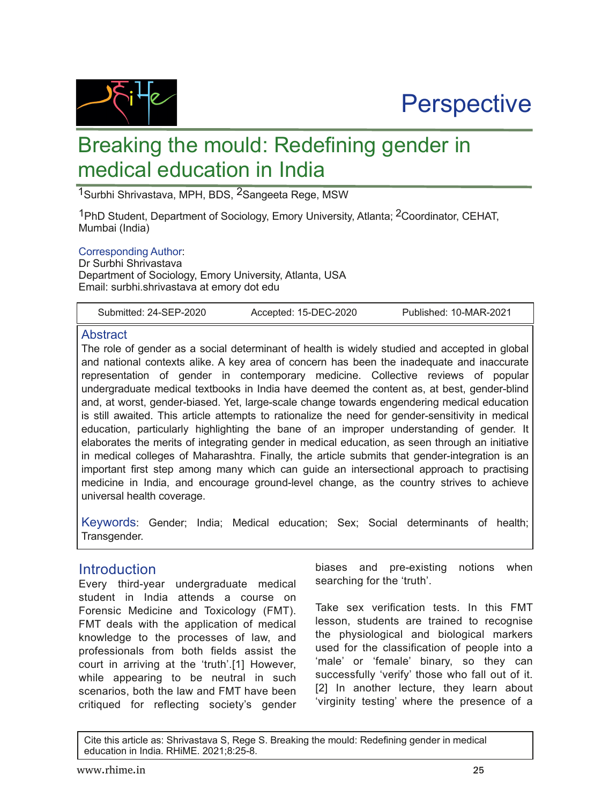



# Breaking the mould: Redefining gender in medical education in India

1Surbhi Shrivastava, MPH, BDS, 2Sangeeta Rege, MSW

<sup>1</sup>PhD Student, Department of Sociology, Emory University, Atlanta; <sup>2</sup>Coordinator, CEHAT, Mumbai (India)

#### Corresponding Author:

Dr Surbhi Shrivastava Department of Sociology, Emory University, Atlanta, USA Email: surbhi.shrivastava at emory dot edu

Submitted: 24-SEP-2020 Accepted: 15-DEC-2020 Published: 10-MAR-2021

#### **Abstract**

The role of gender as a social determinant of health is widely studied and accepted in global and national contexts alike. A key area of concern has been the inadequate and inaccurate representation of gender in contemporary medicine. Collective reviews of popular undergraduate medical textbooks in India have deemed the content as, at best, gender-blind and, at worst, gender-biased. Yet, large-scale change towards engendering medical education is still awaited. This article attempts to rationalize the need for gender-sensitivity in medical education, particularly highlighting the bane of an improper understanding of gender. It elaborates the merits of integrating gender in medical education, as seen through an initiative in medical colleges of Maharashtra. Finally, the article submits that gender-integration is an important first step among many which can guide an intersectional approach to practising medicine in India, and encourage ground-level change, as the country strives to achieve universal health coverage.

Keywords: Gender; India; Medical education; Sex; Social determinants of health; Transgender.

#### **Introduction**

Every third-year undergraduate medical student in India attends a course on Forensic Medicine and Toxicology (FMT). FMT deals with the application of medical knowledge to the processes of law, and professionals from both fields assist the court in arriving at the 'truth'.[1] However, while appearing to be neutral in such scenarios, both the law and FMT have been critiqued for reflecting society's gender

biases and pre-existing notions when searching for the 'truth'.

Take sex verification tests. In this FMT lesson, students are trained to recognise the physiological and biological markers used for the classification of people into a 'male' or 'female' binary, so they can successfully 'verify' those who fall out of it. [2] In another lecture, they learn about 'virginity testing' where the presence of a

Cite this article as: Shrivastava S, Rege S. Breaking the mould: Redefining gender in medical education in India. RHiME. 2021;8:25-8.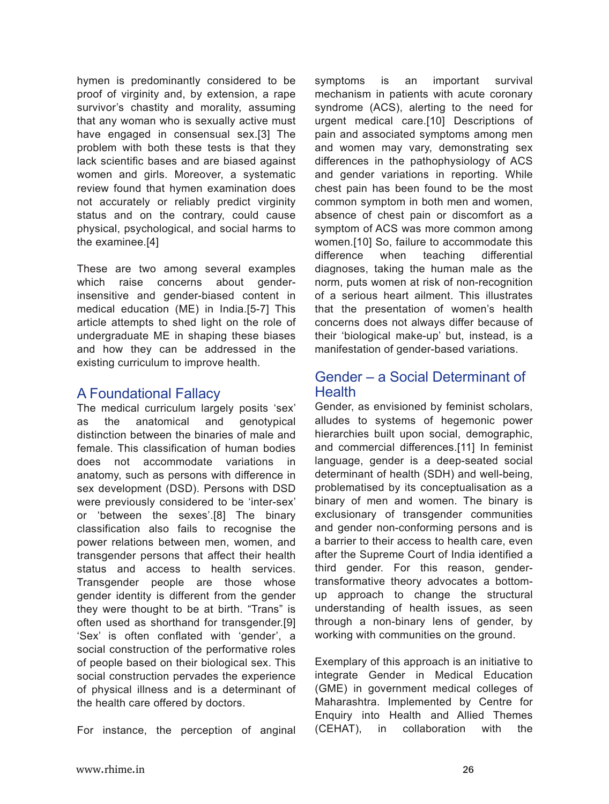hymen is predominantly considered to be proof of virginity and, by extension, a rape survivor's chastity and morality, assuming that any woman who is sexually active must have engaged in consensual sex.[3] The problem with both these tests is that they lack scientific bases and are biased against women and girls. Moreover, a systematic review found that hymen examination does not accurately or reliably predict virginity status and on the contrary, could cause physical, psychological, and social harms to the examinee.[4]

These are two among several examples which raise concerns about genderinsensitive and gender-biased content in medical education (ME) in India.[5-7] This article attempts to shed light on the role of undergraduate ME in shaping these biases and how they can be addressed in the existing curriculum to improve health.

## A Foundational Fallacy

The medical curriculum largely posits 'sex' as the anatomical and genotypical distinction between the binaries of male and female. This classification of human bodies does not accommodate variations in anatomy, such as persons with difference in sex development (DSD). Persons with DSD were previously considered to be 'inter-sex' or 'between the sexes'.[8] The binary classification also fails to recognise the power relations between men, women, and transgender persons that affect their health status and access to health services. Transgender people are those whose gender identity is different from the gender they were thought to be at birth. "Trans" is often used as shorthand for transgender.[9] 'Sex' is often conflated with 'gender', a social construction of the performative roles of people based on their biological sex. This social construction pervades the experience of physical illness and is a determinant of the health care offered by doctors.

For instance, the perception of anginal

symptoms is an important survival mechanism in patients with acute coronary syndrome (ACS), alerting to the need for urgent medical care.[10] Descriptions of pain and associated symptoms among men and women may vary, demonstrating sex differences in the pathophysiology of ACS and gender variations in reporting. While chest pain has been found to be the most common symptom in both men and women, absence of chest pain or discomfort as a symptom of ACS was more common among women.[10] So, failure to accommodate this difference when teaching differential diagnoses, taking the human male as the norm, puts women at risk of non-recognition of a serious heart ailment. This illustrates that the presentation of women's health concerns does not always differ because of their 'biological make-up' but, instead, is a manifestation of gender-based variations.

## Gender – a Social Determinant of **Health**

Gender, as envisioned by feminist scholars, alludes to systems of hegemonic power hierarchies built upon social, demographic, and commercial differences.[11] In feminist language, gender is a deep-seated social determinant of health (SDH) and well-being, problematised by its conceptualisation as a binary of men and women. The binary is exclusionary of transgender communities and gender non-conforming persons and is a barrier to their access to health care, even after the Supreme Court of India identified a third gender. For this reason, gendertransformative theory advocates a bottomup approach to change the structural understanding of health issues, as seen through a non-binary lens of gender, by working with communities on the ground.

Exemplary of this approach is an initiative to integrate Gender in Medical Education (GME) in government medical colleges of Maharashtra. Implemented by Centre for Enquiry into Health and Allied Themes (CEHAT), in collaboration with the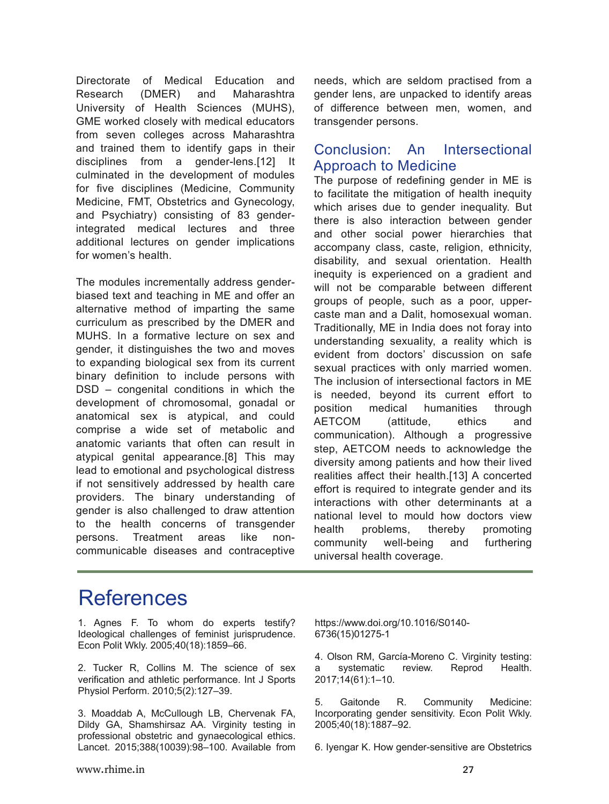Directorate of Medical Education and Research (DMER) and Maharashtra University of Health Sciences (MUHS), GME worked closely with medical educators from seven colleges across Maharashtra and trained them to identify gaps in their disciplines from a gender-lens.[12] It culminated in the development of modules for five disciplines (Medicine, Community Medicine, FMT, Obstetrics and Gynecology, and Psychiatry) consisting of 83 genderintegrated medical lectures and three additional lectures on gender implications for women's health.

The modules incrementally address genderbiased text and teaching in ME and offer an alternative method of imparting the same curriculum as prescribed by the DMER and MUHS. In a formative lecture on sex and gender, it distinguishes the two and moves to expanding biological sex from its current binary definition to include persons with DSD – congenital conditions in which the development of chromosomal, gonadal or anatomical sex is atypical, and could comprise a wide set of metabolic and anatomic variants that often can result in atypical genital appearance.[8] This may lead to emotional and psychological distress if not sensitively addressed by health care providers. The binary understanding of gender is also challenged to draw attention to the health concerns of transgender persons. Treatment areas like noncommunicable diseases and contraceptive

needs, which are seldom practised from a gender lens, are unpacked to identify areas of difference between men, women, and transgender persons.

## Conclusion: An Intersectional Approach to Medicine

The purpose of redefining gender in ME is to facilitate the mitigation of health inequity which arises due to gender inequality. But there is also interaction between gender and other social power hierarchies that accompany class, caste, religion, ethnicity, disability, and sexual orientation. Health inequity is experienced on a gradient and will not be comparable between different groups of people, such as a poor, uppercaste man and a Dalit, homosexual woman. Traditionally, ME in India does not foray into understanding sexuality, a reality which is evident from doctors' discussion on safe sexual practices with only married women. The inclusion of intersectional factors in ME is needed, beyond its current effort to position medical humanities through AETCOM (attitude, ethics and communication). Although a progressive step, AETCOM needs to acknowledge the diversity among patients and how their lived realities affect their health.[13] A concerted effort is required to integrate gender and its interactions with other determinants at a national level to mould how doctors view health problems, thereby promoting community well-being and furthering universal health coverage.

## References

1. Agnes F. To whom do experts testify? Ideological challenges of feminist jurisprudence. Econ Polit Wkly. 2005;40(18):1859–66.

2. Tucker R, Collins M. The science of sex verification and athletic performance. Int J Sports Physiol Perform. 2010;5(2):127–39.

3. Moaddab A, McCullough LB, Chervenak FA, Dildy GA, Shamshirsaz AA. Virginity testing in professional obstetric and gynaecological ethics. Lancet. 2015;388(10039):98–100. Available from https://www.doi.org/10.1016/S0140 6736(15)012751

4. Olson RM, García-Moreno C. Virginity testing: a systematic review. Reprod Health. 2017;14(61):1–10.

5. Gaitonde R. Community Medicine: Incorporating gender sensitivity. Econ Polit Wkly. 2005;40(18):1887–92.

6. Iyengar K. How gender-sensitive are Obstetrics